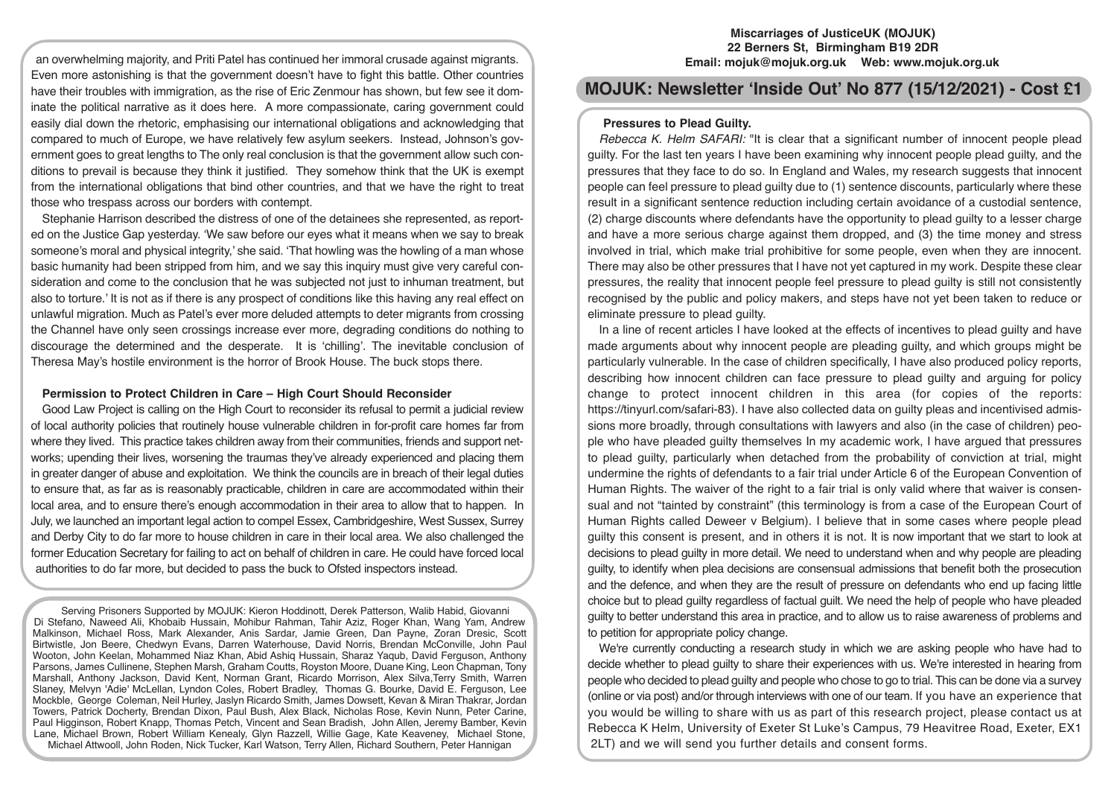**Miscarriages of JusticeUK (MOJUK) 22 Berners St, Birmingham B19 2DR Email: mojuk@mojuk.org.uk Web: www.mojuk.org.uk**

**MOJUK: Newsletter 'Inside Out' No 877 (15/12/2021) - Cost £1**

# **Pressures to Plead Guilty.**

*Rebecca K. Helm SAFARI:* "It is clear that a significant number of innocent people plead guilty. For the last ten years I have been examining why innocent people plead guilty, and the pressures that they face to do so. In England and Wales, my research suggests that innocent people can feel pressure to plead guilty due to (1) sentence discounts, particularly where these result in a significant sentence reduction including certain avoidance of a custodial sentence, (2) charge discounts where defendants have the opportunity to plead guilty to a lesser charge and have a more serious charge against them dropped, and (3) the time money and stress involved in trial, which make trial prohibitive for some people, even when they are innocent. There may also be other pressures that I have not yet captured in my work. Despite these clear pressures, the reality that innocent people feel pressure to plead guilty is still not consistently recognised by the public and policy makers, and steps have not yet been taken to reduce or eliminate pressure to plead guilty.

In a line of recent articles I have looked at the effects of incentives to plead guilty and have made arguments about why innocent people are pleading guilty, and which groups might be particularly vulnerable. In the case of children specifically, I have also produced policy reports, describing how innocent children can face pressure to plead guilty and arguing for policy change to protect innocent children in this area (for copies of the reports: https://tinyurl.com/safari-83). I have also collected data on guilty pleas and incentivised admissions more broadly, through consultations with lawyers and also (in the case of children) people who have pleaded guilty themselves In my academic work, I have argued that pressures to plead guilty, particularly when detached from the probability of conviction at trial, might undermine the rights of defendants to a fair trial under Article 6 of the European Convention of Human Rights. The waiver of the right to a fair trial is only valid where that waiver is consensual and not "tainted by constraint" (this terminology is from a case of the European Court of Human Rights called Deweer v Belgium). I believe that in some cases where people plead guilty this consent is present, and in others it is not. It is now important that we start to look at decisions to plead guilty in more detail. We need to understand when and why people are pleading guilty, to identify when plea decisions are consensual admissions that benefit both the prosecution and the defence, and when they are the result of pressure on defendants who end up facing little choice but to plead guilty regardless of factual guilt. We need the help of people who have pleaded guilty to better understand this area in practice, and to allow us to raise awareness of problems and to petition for appropriate policy change.

We're currently conducting a research study in which we are asking people who have had to decide whether to plead guilty to share their experiences with us. We're interested in hearing from people who decided to plead guilty and people who chose to go to trial. This can be done via a survey (online or via post) and/or through interviews with one of our team. If you have an experience that you would be willing to share with us as part of this research project, please contact us at Rebecca K Helm, University of Exeter St Luke's Campus, 79 Heavitree Road, Exeter, EX1 2LT) and we will send you further details and consent forms.

an overwhelming majority, and Priti Patel has continued her immoral crusade against migrants. Even more astonishing is that the government doesn't have to fight this battle. Other countries have their troubles with immigration, as the rise of Eric Zenmour has shown, but few see it dominate the political narrative as it does here. A more compassionate, caring government could easily dial down the rhetoric, emphasising our international obligations and acknowledging that compared to much of Europe, we have relatively few asylum seekers. Instead, Johnson's government goes to great lengths to The only real conclusion is that the government allow such conditions to prevail is because they think it justified. They somehow think that the UK is exempt from the international obligations that bind other countries, and that we have the right to treat those who trespass across our borders with contempt.

Stephanie Harrison described the distress of one of the detainees she represented, as reported on the Justice Gap yesterday. 'We saw before our eyes what it means when we say to break someone's moral and physical integrity,' she said. 'That howling was the howling of a man whose basic humanity had been stripped from him, and we say this inquiry must give very careful consideration and come to the conclusion that he was subjected not just to inhuman treatment, but also to torture.' It is not as if there is any prospect of conditions like this having any real effect on unlawful migration. Much as Patel's ever more deluded attempts to deter migrants from crossing the Channel have only seen crossings increase ever more, degrading conditions do nothing to discourage the determined and the desperate. It is 'chilling'. The inevitable conclusion of Theresa May's hostile environment is the horror of Brook House. The buck stops there.

# **Permission to Protect Children in Care – High Court Should Reconsider**

Good Law Project is calling on the High Court to reconsider its refusal to permit a judicial review of local authority policies that routinely house vulnerable children in for-profit care homes far from where they lived. This practice takes children away from their communities, friends and support networks; upending their lives, worsening the traumas they've already experienced and placing them in greater danger of abuse and exploitation. We think the councils are in breach of their legal duties to ensure that, as far as is reasonably practicable, children in care are accommodated within their local area, and to ensure there's enough accommodation in their area to allow that to happen. In July, we launched an important legal action to compel Essex, Cambridgeshire, West Sussex, Surrey and Derby City to do far more to house children in care in their local area. We also challenged the former Education Secretary for failing to act on behalf of children in care. He could have forced local authorities to do far more, but decided to pass the buck to Ofsted inspectors instead.

Serving Prisoners Supported by MOJUK: Kieron Hoddinott, Derek Patterson, Walib Habid, Giovanni Di Stefano, Naweed Ali, Khobaib Hussain, Mohibur Rahman, Tahir Aziz, Roger Khan, Wang Yam, Andrew Malkinson, Michael Ross, Mark Alexander, Anis Sardar, Jamie Green, Dan Payne, Zoran Dresic, Scott Birtwistle, Jon Beere, Chedwyn Evans, Darren Waterhouse, David Norris, Brendan McConville, John Paul Wooton, John Keelan, Mohammed Niaz Khan, Abid Ashiq Hussain, Sharaz Yaqub, David Ferguson, Anthony Parsons, James Cullinene, Stephen Marsh, Graham Coutts, Royston Moore, Duane King, Leon Chapman, Tony Marshall, Anthony Jackson, David Kent, Norman Grant, Ricardo Morrison, Alex Silva,Terry Smith, Warren Slaney, Melvyn 'Adie' McLellan, Lyndon Coles, Robert Bradley, Thomas G. Bourke, David E. Ferguson, Lee Mockble, George Coleman, Neil Hurley, Jaslyn Ricardo Smith, James Dowsett, Kevan & Miran Thakrar, Jordan Towers, Patrick Docherty, Brendan Dixon, Paul Bush, Alex Black, Nicholas Rose, Kevin Nunn, Peter Carine, Paul Higginson, Robert Knapp, Thomas Petch, Vincent and Sean Bradish, John Allen, Jeremy Bamber, Kevin Lane, Michael Brown, Robert William Kenealy, Glyn Razzell, Willie Gage, Kate Keaveney, Michael Stone, Michael Attwooll, John Roden, Nick Tucker, Karl Watson, Terry Allen, Richard Southern, Peter Hannigan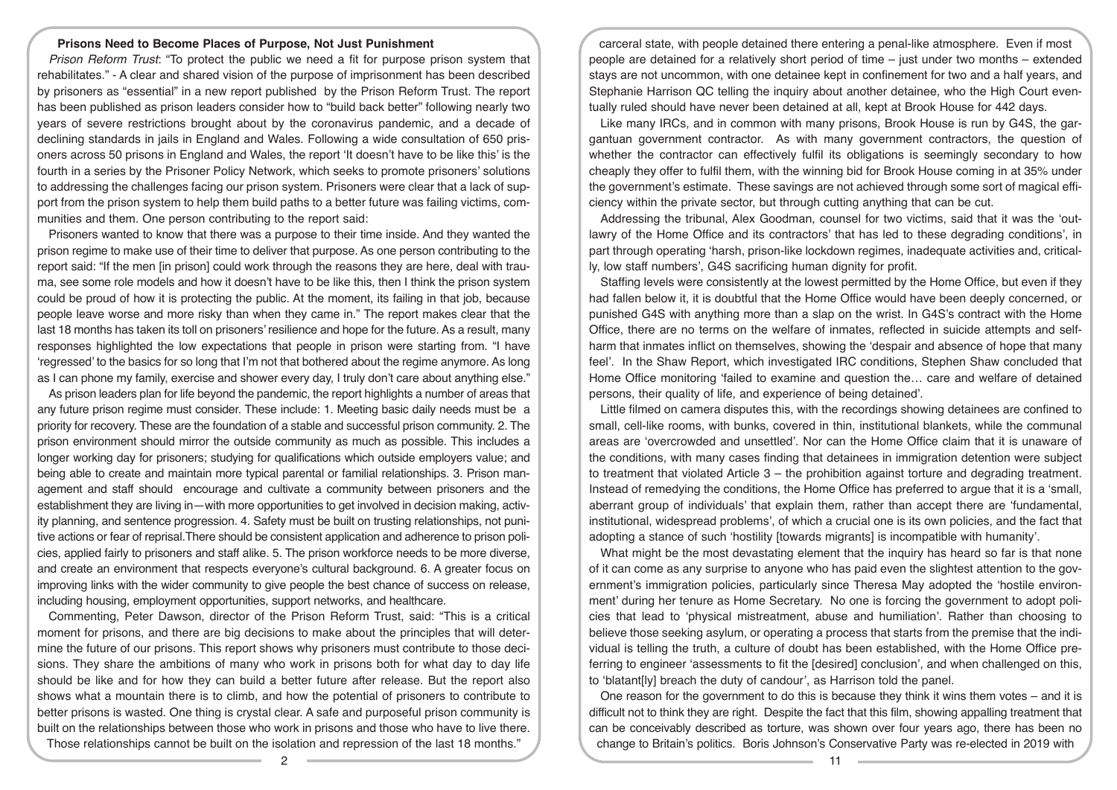# **Prisons Need to Become Places of Purpose, Not Just Punishment**

*Prison Reform Trust*: "To protect the public we need a fit for purpose prison system that rehabilitates." - A clear and shared vision of the purpose of imprisonment has been described by prisoners as "essential" in a new report published by the Prison Reform Trust. The report has been published as prison leaders consider how to "build back better" following nearly two years of severe restrictions brought about by the coronavirus pandemic, and a decade of declining standards in jails in England and Wales. Following a wide consultation of 650 prisoners across 50 prisons in England and Wales, the report 'It doesn't have to be like this' is the fourth in a series by the Prisoner Policy Network, which seeks to promote prisoners' solutions to addressing the challenges facing our prison system. Prisoners were clear that a lack of support from the prison system to help them build paths to a better future was failing victims, communities and them. One person contributing to the report said:

Prisoners wanted to know that there was a purpose to their time inside. And they wanted the prison regime to make use of their time to deliver that purpose. As one person contributing to the report said: "If the men [in prison] could work through the reasons they are here, deal with trauma, see some role models and how it doesn't have to be like this, then I think the prison system could be proud of how it is protecting the public. At the moment, its failing in that job, because people leave worse and more risky than when they came in." The report makes clear that the last 18 months has taken its toll on prisoners' resilience and hope for the future. As a result, many responses highlighted the low expectations that people in prison were starting from. "I have 'regressed' to the basics for so long that I'm not that bothered about the regime anymore. As long as I can phone my family, exercise and shower every day, I truly don't care about anything else."

As prison leaders plan for life beyond the pandemic, the report highlights a number of areas that any future prison regime must consider. These include: 1. Meeting basic daily needs must be a priority for recovery. These are the foundation of a stable and successful prison community. 2. The prison environment should mirror the outside community as much as possible. This includes a longer working day for prisoners; studying for qualifications which outside employers value; and being able to create and maintain more typical parental or familial relationships. 3. Prison management and staff should encourage and cultivate a community between prisoners and the establishment they are living in—with more opportunities to get involved in decision making, activity planning, and sentence progression. 4. Safety must be built on trusting relationships, not punitive actions or fear of reprisal.There should be consistent application and adherence to prison policies, applied fairly to prisoners and staff alike. 5. The prison workforce needs to be more diverse, and create an environment that respects everyone's cultural background. 6. A greater focus on improving links with the wider community to give people the best chance of success on release, including housing, employment opportunities, support networks, and healthcare.

Commenting, Peter Dawson, director of the Prison Reform Trust, said: "This is a critical moment for prisons, and there are big decisions to make about the principles that will determine the future of our prisons. This report shows why prisoners must contribute to those decisions. They share the ambitions of many who work in prisons both for what day to day life should be like and for how they can build a better future after release. But the report also shows what a mountain there is to climb, and how the potential of prisoners to contribute to better prisons is wasted. One thing is crystal clear. A safe and purposeful prison community is built on the relationships between those who work in prisons and those who have to live there. Those relationships cannot be built on the isolation and repression of the last 18 months."

carceral state, with people detained there entering a penal-like atmosphere. Even if most people are detained for a relatively short period of time – just under two months – extended stays are not uncommon, with one detainee kept in confinement for two and a half years, and Stephanie Harrison QC telling the inquiry about another detainee, who the High Court eventually ruled should have never been detained at all, kept at Brook House for 442 days.

Like many IRCs, and in common with many prisons, Brook House is run by G4S, the gargantuan government contractor. As with many government contractors, the question of whether the contractor can effectively fulfil its obligations is seemingly secondary to how cheaply they offer to fulfil them, with the winning bid for Brook House coming in at 35% under the government's estimate. These savings are not achieved through some sort of magical efficiency within the private sector, but through cutting anything that can be cut.

Addressing the tribunal, Alex Goodman, counsel for two victims, said that it was the 'outlawry of the Home Office and its contractors' that has led to these degrading conditions', in part through operating 'harsh, prison-like lockdown regimes, inadequate activities and, critically, low staff numbers', G4S sacrificing human dignity for profit.

Staffing levels were consistently at the lowest permitted by the Home Office, but even if they had fallen below it, it is doubtful that the Home Office would have been deeply concerned, or punished G4S with anything more than a slap on the wrist. In G4S's contract with the Home Office, there are no terms on the welfare of inmates, reflected in suicide attempts and selfharm that inmates inflict on themselves, showing the 'despair and absence of hope that many feel'. In the Shaw Report, which investigated IRC conditions, Stephen Shaw concluded that Home Office monitoring 'failed to examine and question the… care and welfare of detained persons, their quality of life, and experience of being detained'.

Little filmed on camera disputes this, with the recordings showing detainees are confined to small, cell-like rooms, with bunks, covered in thin, institutional blankets, while the communal areas are 'overcrowded and unsettled'. Nor can the Home Office claim that it is unaware of the conditions, with many cases finding that detainees in immigration detention were subject to treatment that violated Article 3 – the prohibition against torture and degrading treatment. Instead of remedying the conditions, the Home Office has preferred to argue that it is a 'small, aberrant group of individuals' that explain them, rather than accept there are 'fundamental, institutional, widespread problems', of which a crucial one is its own policies, and the fact that adopting a stance of such 'hostility [towards migrants] is incompatible with humanity'.

What might be the most devastating element that the inquiry has heard so far is that none of it can come as any surprise to anyone who has paid even the slightest attention to the government's immigration policies, particularly since Theresa May adopted the 'hostile environment' during her tenure as Home Secretary. No one is forcing the government to adopt policies that lead to 'physical mistreatment, abuse and humiliation'. Rather than choosing to believe those seeking asylum, or operating a process that starts from the premise that the individual is telling the truth, a culture of doubt has been established, with the Home Office preferring to engineer 'assessments to fit the [desired] conclusion', and when challenged on this, to 'blatant[ly] breach the duty of candour', as Harrison told the panel.

One reason for the government to do this is because they think it wins them votes – and it is difficult not to think they are right. Despite the fact that this film, showing appalling treatment that can be conceivably described as torture, was shown over four years ago, there has been no change to Britain's politics. Boris Johnson's Conservative Party was re-elected in 2019 with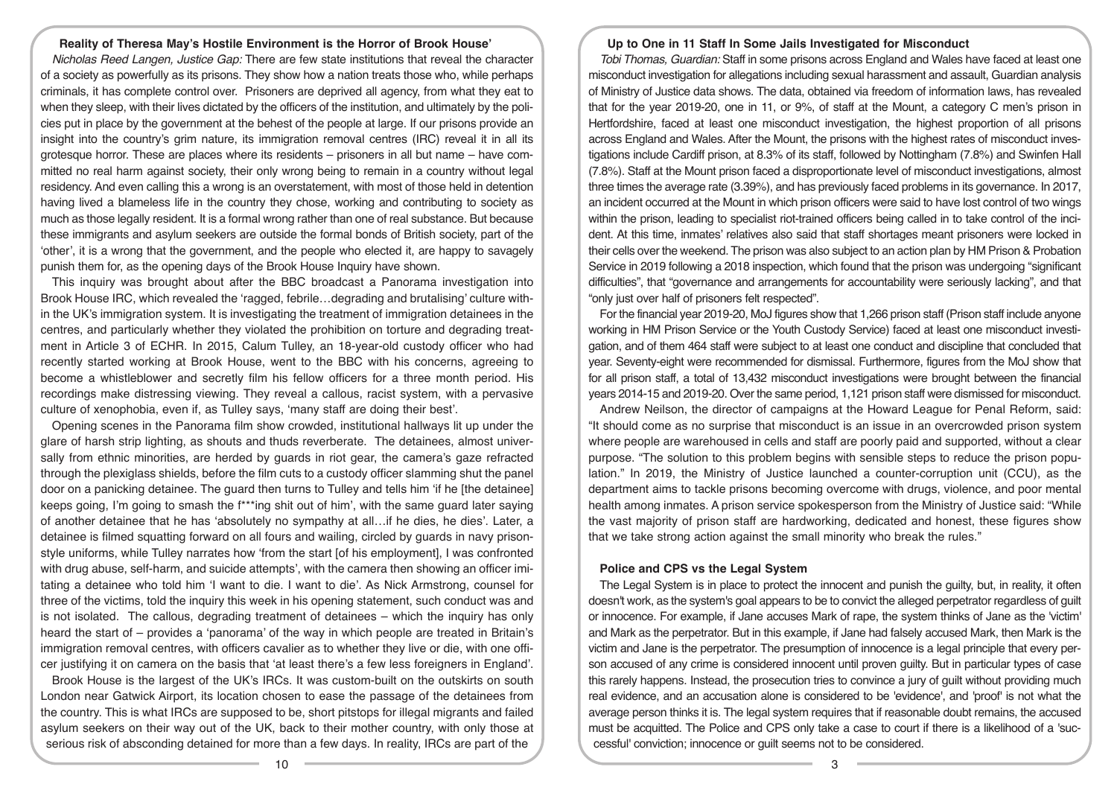#### **Reality of Theresa May's Hostile Environment is the Horror of Brook House'**

*Nicholas Reed Langen, Justice Gap:* There are few state institutions that reveal the character of a society as powerfully as its prisons. They show how a nation treats those who, while perhaps criminals, it has complete control over. Prisoners are deprived all agency, from what they eat to when they sleep, with their lives dictated by the officers of the institution, and ultimately by the policies put in place by the government at the behest of the people at large. If our prisons provide an insight into the country's grim nature, its immigration removal centres (IRC) reveal it in all its grotesque horror. These are places where its residents – prisoners in all but name – have committed no real harm against society, their only wrong being to remain in a country without legal residency. And even calling this a wrong is an overstatement, with most of those held in detention having lived a blameless life in the country they chose, working and contributing to society as much as those legally resident. It is a formal wrong rather than one of real substance. But because these immigrants and asylum seekers are outside the formal bonds of British society, part of the 'other', it is a wrong that the government, and the people who elected it, are happy to savagely punish them for, as the opening days of the Brook House Inquiry have shown.

This inquiry was brought about after the BBC broadcast a Panorama investigation into Brook House IRC, which revealed the 'ragged, febrile…degrading and brutalising' culture within the UK's immigration system. It is investigating the treatment of immigration detainees in the centres, and particularly whether they violated the prohibition on torture and degrading treatment in Article 3 of ECHR. In 2015, Calum Tulley, an 18-year-old custody officer who had recently started working at Brook House, went to the BBC with his concerns, agreeing to become a whistleblower and secretly film his fellow officers for a three month period. His recordings make distressing viewing. They reveal a callous, racist system, with a pervasive culture of xenophobia, even if, as Tulley says, 'many staff are doing their best'.

Opening scenes in the Panorama film show crowded, institutional hallways lit up under the glare of harsh strip lighting, as shouts and thuds reverberate. The detainees, almost universally from ethnic minorities, are herded by guards in riot gear, the camera's gaze refracted through the plexiglass shields, before the film cuts to a custody officer slamming shut the panel door on a panicking detainee. The guard then turns to Tulley and tells him 'if he [the detainee] keeps going, I'm going to smash the f\*\*\*ing shit out of him', with the same guard later saying of another detainee that he has 'absolutely no sympathy at all…if he dies, he dies'. Later, a detainee is filmed squatting forward on all fours and wailing, circled by guards in navy prisonstyle uniforms, while Tulley narrates how 'from the start [of his employment], I was confronted with drug abuse, self-harm, and suicide attempts', with the camera then showing an officer imitating a detainee who told him 'I want to die. I want to die'. As Nick Armstrong, counsel for three of the victims, told the inquiry this week in his opening statement, such conduct was and is not isolated. The callous, degrading treatment of detainees – which the inquiry has only heard the start of – provides a 'panorama' of the way in which people are treated in Britain's immigration removal centres, with officers cavalier as to whether they live or die, with one officer justifying it on camera on the basis that 'at least there's a few less foreigners in England'.

Brook House is the largest of the UK's IRCs. It was custom-built on the outskirts on south London near Gatwick Airport, its location chosen to ease the passage of the detainees from the country. This is what IRCs are supposed to be, short pitstops for illegal migrants and failed asylum seekers on their way out of the UK, back to their mother country, with only those at serious risk of absconding detained for more than a few days. In reality, IRCs are part of the

#### **Up to One in 11 Staff In Some Jails Investigated for Misconduct**

*Tobi Thomas, Guardian:* Staff in some prisons across England and Wales have faced at least one misconduct investigation for allegations including sexual harassment and assault, Guardian analysis of Ministry of Justice data shows. The data, obtained via freedom of information laws, has revealed that for the year 2019-20, one in 11, or 9%, of staff at the Mount, a category C men's prison in Hertfordshire, faced at least one misconduct investigation, the highest proportion of all prisons across England and Wales. After the Mount, the prisons with the highest rates of misconduct investigations include Cardiff prison, at 8.3% of its staff, followed by Nottingham (7.8%) and Swinfen Hall (7.8%). Staff at the Mount prison faced a disproportionate level of misconduct investigations, almost three times the average rate (3.39%), and has previously faced problems in its governance. In 2017, an incident occurred at the Mount in which prison officers were said to have lost control of two wings within the prison, leading to specialist riot-trained officers being called in to take control of the incident. At this time, inmates' relatives also said that staff shortages meant prisoners were locked in their cells over the weekend. The prison was also subject to an action plan by HM Prison & Probation Service in 2019 following a 2018 inspection, which found that the prison was undergoing "significant difficulties", that "governance and arrangements for accountability were seriously lacking", and that "only just over half of prisoners felt respected".

For the financial year 2019-20, MoJ figures show that 1,266 prison staff (Prison staff include anyone working in HM Prison Service or the Youth Custody Service) faced at least one misconduct investigation, and of them 464 staff were subject to at least one conduct and discipline that concluded that year. Seventy-eight were recommended for dismissal. Furthermore, figures from the MoJ show that for all prison staff, a total of 13,432 misconduct investigations were brought between the financial years 2014-15 and 2019-20. Over the same period, 1,121 prison staff were dismissed for misconduct.

Andrew Neilson, the director of campaigns at the Howard League for Penal Reform, said: "It should come as no surprise that misconduct is an issue in an overcrowded prison system where people are warehoused in cells and staff are poorly paid and supported, without a clear purpose. "The solution to this problem begins with sensible steps to reduce the prison population." In 2019, the Ministry of Justice launched a counter-corruption unit (CCU), as the department aims to tackle prisons becoming overcome with drugs, violence, and poor mental health among inmates. A prison service spokesperson from the Ministry of Justice said: "While the vast majority of prison staff are hardworking, dedicated and honest, these figures show that we take strong action against the small minority who break the rules."

#### **Police and CPS vs the Legal System**

The Legal System is in place to protect the innocent and punish the guilty, but, in reality, it often doesn't work, as the system's goal appears to be to convict the alleged perpetrator regardless of guilt or innocence. For example, if Jane accuses Mark of rape, the system thinks of Jane as the 'victim' and Mark as the perpetrator. But in this example, if Jane had falsely accused Mark, then Mark is the victim and Jane is the perpetrator. The presumption of innocence is a legal principle that every person accused of any crime is considered innocent until proven guilty. But in particular types of case this rarely happens. Instead, the prosecution tries to convince a jury of guilt without providing much real evidence, and an accusation alone is considered to be 'evidence', and 'proof' is not what the average person thinks it is. The legal system requires that if reasonable doubt remains, the accused must be acquitted. The Police and CPS only take a case to court if there is a likelihood of a 'successful' conviction; innocence or guilt seems not to be considered.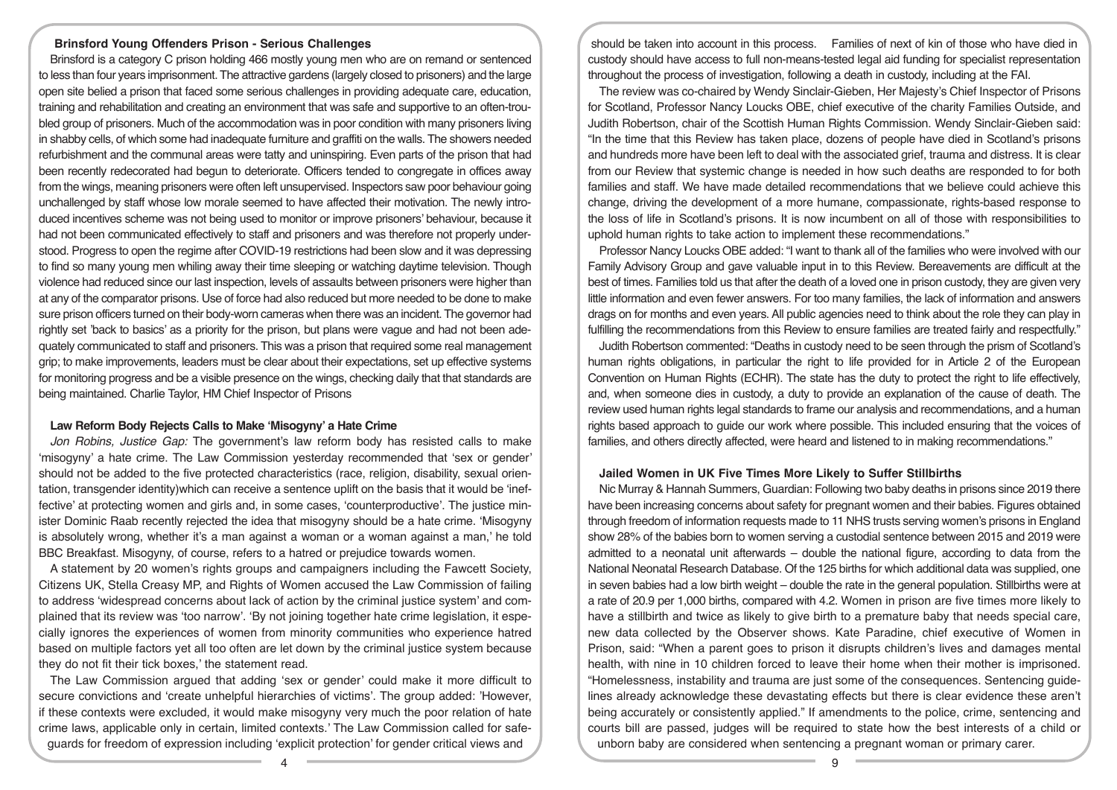# **Brinsford Young Offenders Prison - Serious Challenges**

Brinsford is a category C prison holding 466 mostly young men who are on remand or sentenced to less than four years imprisonment. The attractive gardens (largely closed to prisoners) and the large open site belied a prison that faced some serious challenges in providing adequate care, education, training and rehabilitation and creating an environment that was safe and supportive to an often-troubled group of prisoners. Much of the accommodation was in poor condition with many prisoners living in shabby cells, of which some had inadequate furniture and graffiti on the walls. The showers needed refurbishment and the communal areas were tatty and uninspiring. Even parts of the prison that had been recently redecorated had begun to deteriorate. Officers tended to congregate in offices away from the wings, meaning prisoners were often left unsupervised. Inspectors saw poor behaviour going unchallenged by staff whose low morale seemed to have affected their motivation. The newly introduced incentives scheme was not being used to monitor or improve prisoners' behaviour, because it had not been communicated effectively to staff and prisoners and was therefore not properly understood. Progress to open the regime after COVID-19 restrictions had been slow and it was depressing to find so many young men whiling away their time sleeping or watching daytime television. Though violence had reduced since our last inspection, levels of assaults between prisoners were higher than at any of the comparator prisons. Use of force had also reduced but more needed to be done to make sure prison officers turned on their body-worn cameras when there was an incident. The governor had rightly set 'back to basics' as a priority for the prison, but plans were vague and had not been adequately communicated to staff and prisoners. This was a prison that required some real management grip; to make improvements, leaders must be clear about their expectations, set up effective systems for monitoring progress and be a visible presence on the wings, checking daily that that standards are being maintained. Charlie Taylor, HM Chief Inspector of Prisons

## **Law Reform Body Rejects Calls to Make 'Misogyny' a Hate Crime**

*Jon Robins, Justice Gap:* The government's law reform body has resisted calls to make 'misogyny' a hate crime. The Law Commission yesterday recommended that 'sex or gender' should not be added to the five protected characteristics (race, religion, disability, sexual orientation, transgender identity)which can receive a sentence uplift on the basis that it would be 'ineffective' at protecting women and girls and, in some cases, 'counterproductive'. The justice minister Dominic Raab recently rejected the idea that misogyny should be a hate crime. 'Misogyny is absolutely wrong, whether it's a man against a woman or a woman against a man,' he told BBC Breakfast. Misogyny, of course, refers to a hatred or prejudice towards women.

A statement by 20 women's rights groups and campaigners including the Fawcett Society, Citizens UK, Stella Creasy MP, and Rights of Women accused the Law Commission of failing to address 'widespread concerns about lack of action by the criminal justice system' and complained that its review was 'too narrow'. 'By not joining together hate crime legislation, it especially ignores the experiences of women from minority communities who experience hatred based on multiple factors yet all too often are let down by the criminal justice system because they do not fit their tick boxes,' the statement read.

The Law Commission argued that adding 'sex or gender' could make it more difficult to secure convictions and 'create unhelpful hierarchies of victims'. The group added: 'However, if these contexts were excluded, it would make misogyny very much the poor relation of hate crime laws, applicable only in certain, limited contexts.' The Law Commission called for safeguards for freedom of expression including 'explicit protection' for gender critical views and

should be taken into account in this process. Families of next of kin of those who have died in custody should have access to full non-means-tested legal aid funding for specialist representation throughout the process of investigation, following a death in custody, including at the FAI.

The review was co-chaired by Wendy Sinclair-Gieben, Her Majesty's Chief Inspector of Prisons for Scotland, Professor Nancy Loucks OBE, chief executive of the charity Families Outside, and Judith Robertson, chair of the Scottish Human Rights Commission. Wendy Sinclair-Gieben said: "In the time that this Review has taken place, dozens of people have died in Scotland's prisons and hundreds more have been left to deal with the associated grief, trauma and distress. It is clear from our Review that systemic change is needed in how such deaths are responded to for both families and staff. We have made detailed recommendations that we believe could achieve this change, driving the development of a more humane, compassionate, rights-based response to the loss of life in Scotland's prisons. It is now incumbent on all of those with responsibilities to uphold human rights to take action to implement these recommendations."

Professor Nancy Loucks OBE added: "I want to thank all of the families who were involved with our Family Advisory Group and gave valuable input in to this Review. Bereavements are difficult at the best of times. Families told us that after the death of a loved one in prison custody, they are given very little information and even fewer answers. For too many families, the lack of information and answers drags on for months and even years. All public agencies need to think about the role they can play in fulfilling the recommendations from this Review to ensure families are treated fairly and respectfully."

Judith Robertson commented: "Deaths in custody need to be seen through the prism of Scotland's human rights obligations, in particular the right to life provided for in Article 2 of the European Convention on Human Rights (ECHR). The state has the duty to protect the right to life effectively, and, when someone dies in custody, a duty to provide an explanation of the cause of death. The review used human rights legal standards to frame our analysis and recommendations, and a human rights based approach to guide our work where possible. This included ensuring that the voices of families, and others directly affected, were heard and listened to in making recommendations."

# **Jailed Women in UK Five Times More Likely to Suffer Stillbirths**

Nic Murray & Hannah Summers, Guardian: Following two baby deaths in prisons since 2019 there have been increasing concerns about safety for pregnant women and their babies. Figures obtained through freedom of information requests made to 11 NHS trusts serving women's prisons in England show 28% of the babies born to women serving a custodial sentence between 2015 and 2019 were admitted to a neonatal unit afterwards – double the national figure, according to data from the National Neonatal Research Database. Of the 125 births for which additional data was supplied, one in seven babies had a low birth weight – double the rate in the general population. Stillbirths were at a rate of 20.9 per 1,000 births, compared with 4.2. Women in prison are five times more likely to have a stillbirth and twice as likely to give birth to a premature baby that needs special care, new data collected by the Observer shows. Kate Paradine, chief executive of Women in Prison, said: "When a parent goes to prison it disrupts children's lives and damages mental health, with nine in 10 children forced to leave their home when their mother is imprisoned. "Homelessness, instability and trauma are just some of the consequences. Sentencing guidelines already acknowledge these devastating effects but there is clear evidence these aren't being accurately or consistently applied." If amendments to the police, crime, sentencing and courts bill are passed, judges will be required to state how the best interests of a child or unborn baby are considered when sentencing a pregnant woman or primary carer.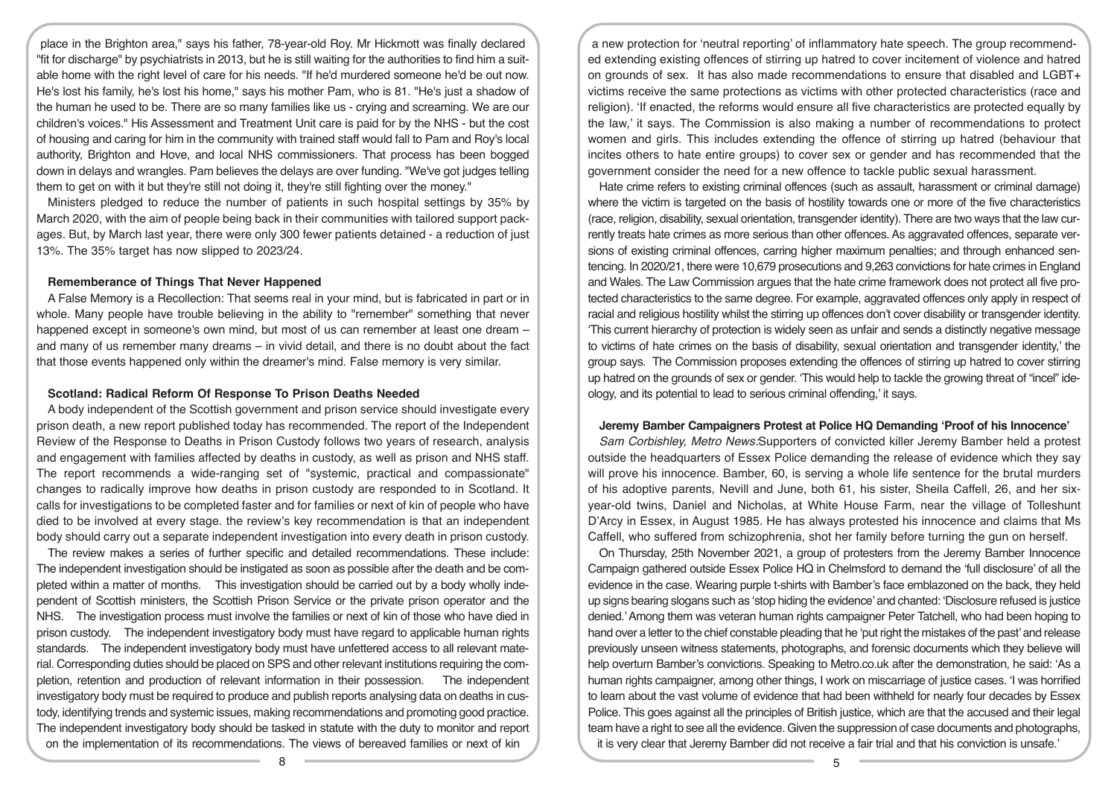place in the Brighton area," says his father, 78-year-old Roy. Mr Hickmott was finally declared "fit for discharge" by psychiatrists in 2013, but he is still waiting for the authorities to find him a suitable home with the right level of care for his needs. "If he'd murdered someone he'd be out now. He's lost his family, he's lost his home," says his mother Pam, who is 81. "He's just a shadow of the human he used to be. There are so many families like us - crying and screaming. We are our children's voices." His Assessment and Treatment Unit care is paid for by the NHS - but the cost of housing and caring for him in the community with trained staff would fall to Pam and Roy's local authority, Brighton and Hove, and local NHS commissioners. That process has been bogged down in delays and wrangles. Pam believes the delays are over funding. "We've got judges telling them to get on with it but they're still not doing it, they're still fighting over the money."

Ministers pledged to reduce the number of patients in such hospital settings by 35% by March 2020, with the aim of people being back in their communities with tailored support packages. But, by March last year, there were only 300 fewer patients detained - a reduction of just 13%. The 35% target has now slipped to 2023/24.

#### **Rememberance of Things That Never Happened**

A False Memory is a Recollection: That seems real in your mind, but is fabricated in part or in whole. Many people have trouble believing in the ability to "remember" something that never happened except in someone's own mind, but most of us can remember at least one dream and many of us remember many dreams – in vivid detail, and there is no doubt about the fact that those events happened only within the dreamer's mind. False memory is very similar.

### **Scotland: Radical Reform Of Response To Prison Deaths Needed**

A body independent of the Scottish government and prison service should investigate every prison death, a new report published today has recommended. The report of the Independent Review of the Response to Deaths in Prison Custody follows two years of research, analysis and engagement with families affected by deaths in custody, as well as prison and NHS staff. The report recommends a wide-ranging set of "systemic, practical and compassionate" changes to radically improve how deaths in prison custody are responded to in Scotland. It calls for investigations to be completed faster and for families or next of kin of people who have died to be involved at every stage. the review's key recommendation is that an independent body should carry out a separate independent investigation into every death in prison custody.

The review makes a series of further specific and detailed recommendations. These include: The independent investigation should be instigated as soon as possible after the death and be completed within a matter of months. This investigation should be carried out by a body wholly independent of Scottish ministers, the Scottish Prison Service or the private prison operator and the NHS. The investigation process must involve the families or next of kin of those who have died in prison custody. The independent investigatory body must have regard to applicable human rights standards. The independent investigatory body must have unfettered access to all relevant material. Corresponding duties should be placed on SPS and other relevant institutions requiring the completion, retention and production of relevant information in their possession. The independent investigatory body must be required to produce and publish reports analysing data on deaths in custody, identifying trends and systemic issues, making recommendations and promoting good practice. The independent investigatory body should be tasked in statute with the duty to monitor and report on the implementation of its recommendations. The views of bereaved families or next of kin

a new protection for 'neutral reporting' of inflammatory hate speech. The group recommended extending existing offences of stirring up hatred to cover incitement of violence and hatred on grounds of sex. It has also made recommendations to ensure that disabled and LGBT+ victims receive the same protections as victims with other protected characteristics (race and religion). 'If enacted, the reforms would ensure all five characteristics are protected equally by the law,' it says. The Commission is also making a number of recommendations to protect women and girls. This includes extending the offence of stirring up hatred (behaviour that incites others to hate entire groups) to cover sex or gender and has recommended that the government consider the need for a new offence to tackle public sexual harassment.

Hate crime refers to existing criminal offences (such as assault, harassment or criminal damage) where the victim is targeted on the basis of hostility towards one or more of the five characteristics (race, religion, disability, sexual orientation, transgender identity). There are two ways that the law currently treats hate crimes as more serious than other offences. As aggravated offences, separate versions of existing criminal offences, carring higher maximum penalties; and through enhanced sentencing. In 2020/21, there were 10,679 prosecutions and 9,263 convictions for hate crimes in England and Wales. The Law Commission argues that the hate crime framework does not protect all five protected characteristics to the same degree. For example, aggravated offences only apply in respect of racial and religious hostility whilst the stirring up offences don't cover disability or transgender identity. 'This current hierarchy of protection is widely seen as unfair and sends a distinctly negative message to victims of hate crimes on the basis of disability, sexual orientation and transgender identity,' the group says. The Commission proposes extending the offences of stirring up hatred to cover stirring up hatred on the grounds of sex or gender. 'This would help to tackle the growing threat of "incel" ideology, and its potential to lead to serious criminal offending,' it says.

#### **Jeremy Bamber Campaigners Protest at Police HQ Demanding 'Proof of his Innocence'**

*Sam Corbishley, Metro News:*Supporters of convicted killer Jeremy Bamber held a protest outside the headquarters of Essex Police demanding the release of evidence which they say will prove his innocence. Bamber, 60, is serving a whole life sentence for the brutal murders of his adoptive parents, Nevill and June, both 61, his sister, Sheila Caffell, 26, and her sixyear-old twins, Daniel and Nicholas, at White House Farm, near the village of Tolleshunt D'Arcy in Essex, in August 1985. He has always protested his innocence and claims that Ms Caffell, who suffered from schizophrenia, shot her family before turning the gun on herself.

On Thursday, 25th November 2021, a group of protesters from the Jeremy Bamber Innocence Campaign gathered outside Essex Police HQ in Chelmsford to demand the 'full disclosure' of all the evidence in the case. Wearing purple t-shirts with Bamber's face emblazoned on the back, they held up signs bearing slogans such as 'stop hiding the evidence' and chanted: 'Disclosure refused is justice denied.' Among them was veteran human rights campaigner Peter Tatchell, who had been hoping to hand over a letter to the chief constable pleading that he 'put right the mistakes of the past' and release previously unseen witness statements, photographs, and forensic documents which they believe will help overturn Bamber's convictions. Speaking to Metro.co.uk after the demonstration, he said: 'As a human rights campaigner, among other things, I work on miscarriage of justice cases. 'I was horrified to learn about the vast volume of evidence that had been withheld for nearly four decades by Essex Police. This goes against all the principles of British justice, which are that the accused and their legal team have a right to see all the evidence. Given the suppression of case documents and photographs, it is very clear that Jeremy Bamber did not receive a fair trial and that his conviction is unsafe.'